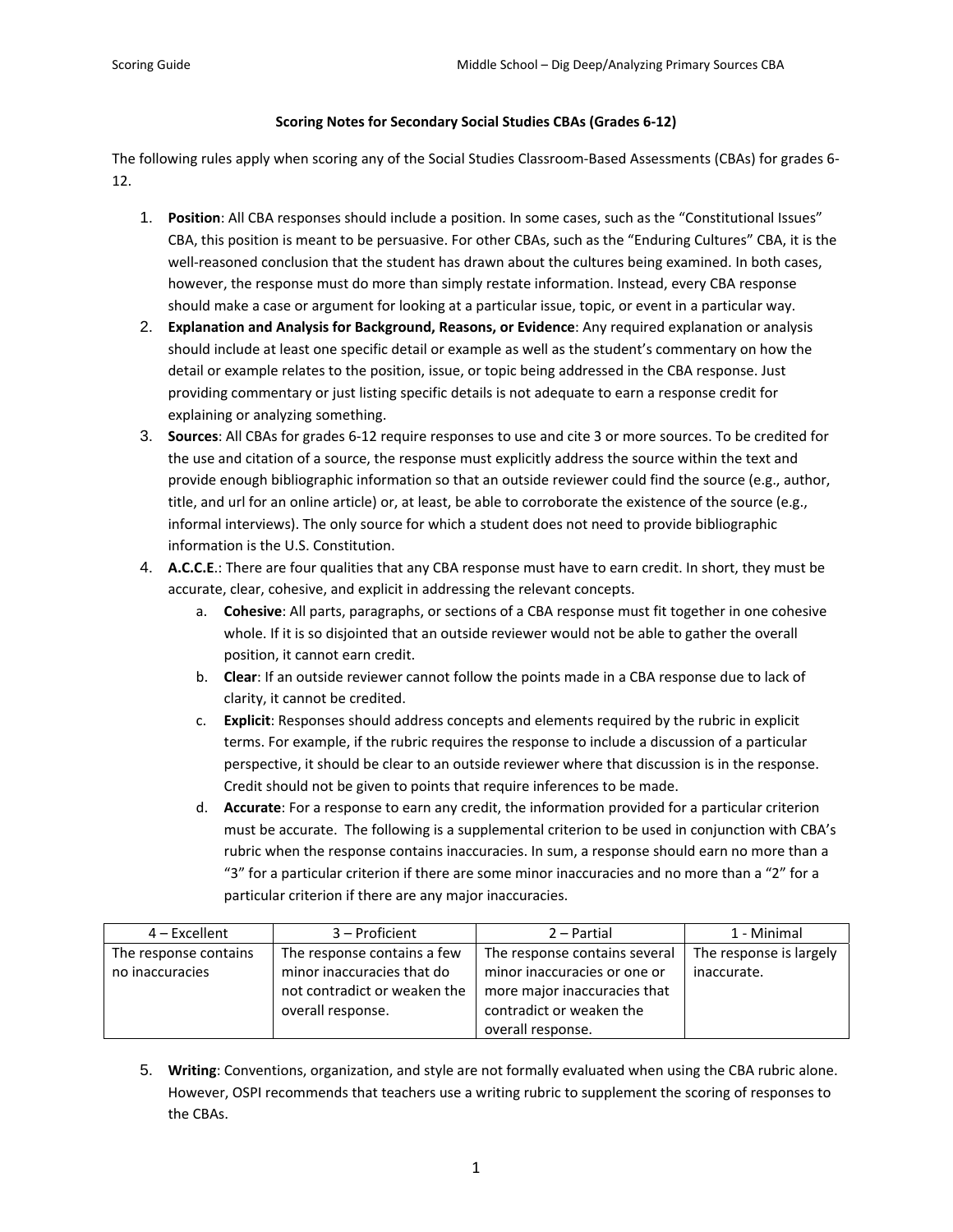## **Scoring Notes for Secondary Social Studies CBAs (Grades 6‐12)**

The following rules apply when scoring any of the Social Studies Classroom‐Based Assessments (CBAs) for grades 6‐ 12.

- 1. **Position**: All CBA responses should include a position. In some cases, such as the "Constitutional Issues" CBA, this position is meant to be persuasive. For other CBAs, such as the "Enduring Cultures" CBA, it is the well-reasoned conclusion that the student has drawn about the cultures being examined. In both cases, however, the response must do more than simply restate information. Instead, every CBA response should make a case or argument for looking at a particular issue, topic, or event in a particular way.
- 2. **Explanation and Analysis for Background, Reasons, or Evidence**: Any required explanation or analysis should include at least one specific detail or example as well as the student's commentary on how the detail or example relates to the position, issue, or topic being addressed in the CBA response. Just providing commentary or just listing specific details is not adequate to earn a response credit for explaining or analyzing something.
- 3. **Sources**: All CBAs for grades 6‐12 require responses to use and cite 3 or more sources. To be credited for the use and citation of a source, the response must explicitly address the source within the text and provide enough bibliographic information so that an outside reviewer could find the source (e.g., author, title, and url for an online article) or, at least, be able to corroborate the existence of the source (e.g., informal interviews). The only source for which a student does not need to provide bibliographic information is the U.S. Constitution.
- 4. **A.C.C.E**.: There are four qualities that any CBA response must have to earn credit. In short, they must be accurate, clear, cohesive, and explicit in addressing the relevant concepts.
	- a. **Cohesive**: All parts, paragraphs, or sections of a CBA response must fit together in one cohesive whole. If it is so disjointed that an outside reviewer would not be able to gather the overall position, it cannot earn credit.
	- b. **Clear**: If an outside reviewer cannot follow the points made in a CBA response due to lack of clarity, it cannot be credited.
	- c. **Explicit**: Responses should address concepts and elements required by the rubric in explicit terms. For example, if the rubric requires the response to include a discussion of a particular perspective, it should be clear to an outside reviewer where that discussion is in the response. Credit should not be given to points that require inferences to be made.
	- d. **Accurate**: For a response to earn any credit, the information provided for a particular criterion must be accurate. The following is a supplemental criterion to be used in conjunction with CBA's rubric when the response contains inaccuracies. In sum, a response should earn no more than a "3" for a particular criterion if there are some minor inaccuracies and no more than a "2" for a particular criterion if there are any major inaccuracies.

| $4$ – Excellent       | 3 – Proficient               | $2 -$ Partial                 | 1 - Minimal             |
|-----------------------|------------------------------|-------------------------------|-------------------------|
| The response contains | The response contains a few  | The response contains several | The response is largely |
| no inaccuracies       | minor inaccuracies that do   | minor inaccuracies or one or  | inaccurate.             |
|                       | not contradict or weaken the | more major inaccuracies that  |                         |
|                       | overall response.            | contradict or weaken the      |                         |
|                       |                              | overall response.             |                         |

5. **Writing**: Conventions, organization, and style are not formally evaluated when using the CBA rubric alone. However, OSPI recommends that teachers use a writing rubric to supplement the scoring of responses to the CBAs.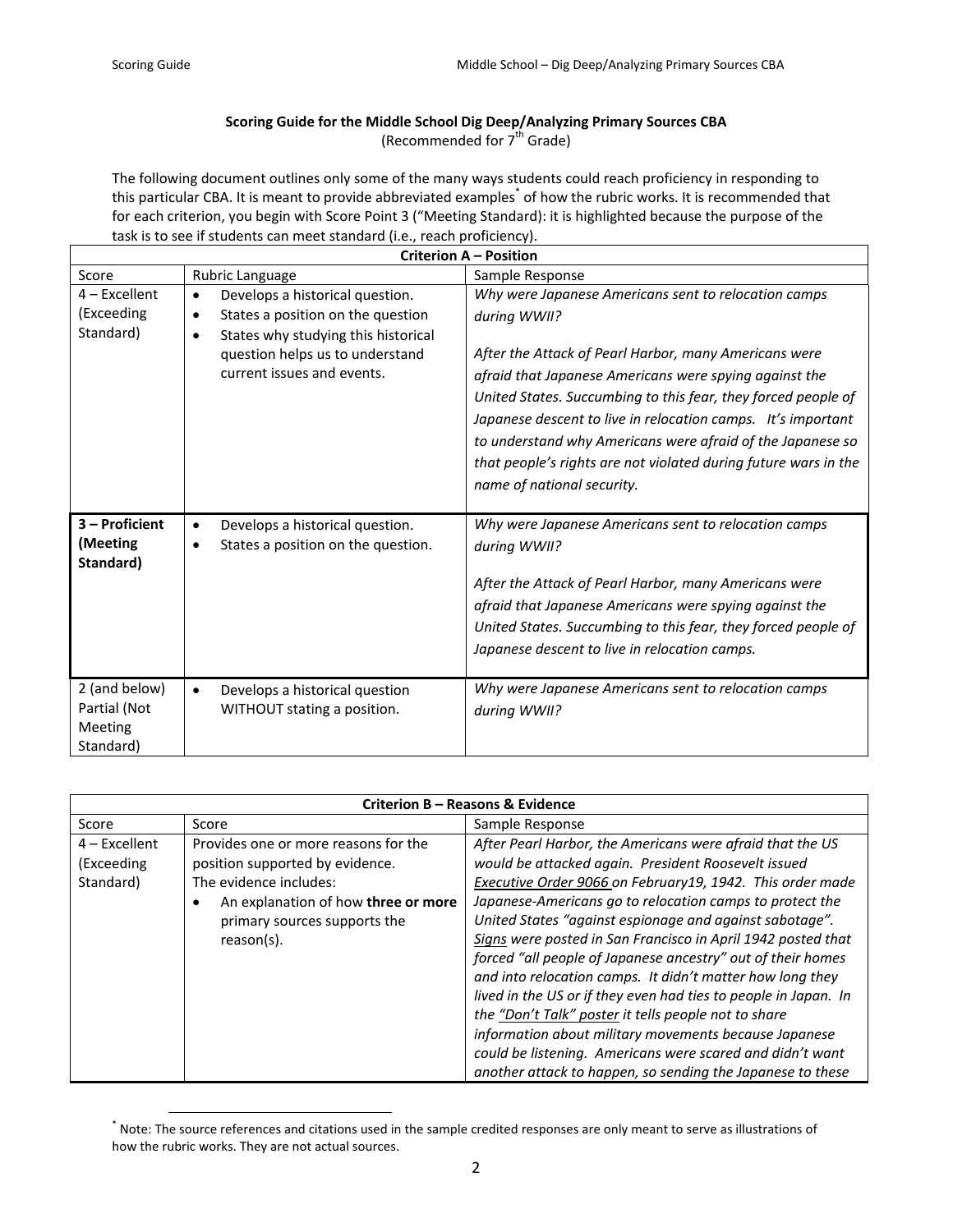## **Scoring Guide for the Middle School Dig Deep/Analyzing Primary Sources CBA** (Recommended for  $7<sup>th</sup>$  Grade)

The following document outlines only some of the many ways students could reach proficiency in responding to this particular CBA. It is meant to provide abbreviated examples<sup>\*</sup> of how the rubric works. It is recommended that for each criterion, you begin with Score Point 3 ("Meeting Standard): it is highlighted because the purpose of the task is to see if students can meet standard (i.e., reach proficiency).

| <b>Criterion A - Position</b>                         |                                                                                                                                                                                                             |                                                                                                                                                                                                                                                                                                                                                                                                                                                                                         |  |
|-------------------------------------------------------|-------------------------------------------------------------------------------------------------------------------------------------------------------------------------------------------------------------|-----------------------------------------------------------------------------------------------------------------------------------------------------------------------------------------------------------------------------------------------------------------------------------------------------------------------------------------------------------------------------------------------------------------------------------------------------------------------------------------|--|
| Score                                                 | Rubric Language                                                                                                                                                                                             | Sample Response                                                                                                                                                                                                                                                                                                                                                                                                                                                                         |  |
| $4$ – Excellent<br>(Exceeding<br>Standard)            | Develops a historical question.<br>$\bullet$<br>States a position on the question<br>٠<br>States why studying this historical<br>$\bullet$<br>question helps us to understand<br>current issues and events. | Why were Japanese Americans sent to relocation camps<br>during WWII?<br>After the Attack of Pearl Harbor, many Americans were<br>afraid that Japanese Americans were spying against the<br>United States. Succumbing to this fear, they forced people of<br>Japanese descent to live in relocation camps. It's important<br>to understand why Americans were afraid of the Japanese so<br>that people's rights are not violated during future wars in the<br>name of national security. |  |
| 3 - Proficient<br>(Meeting<br>Standard)               | Develops a historical question.<br>$\bullet$<br>States a position on the question.<br>٠                                                                                                                     | Why were Japanese Americans sent to relocation camps<br>during WWII?<br>After the Attack of Pearl Harbor, many Americans were<br>afraid that Japanese Americans were spying against the<br>United States. Succumbing to this fear, they forced people of<br>Japanese descent to live in relocation camps.                                                                                                                                                                               |  |
| 2 (and below)<br>Partial (Not<br>Meeting<br>Standard) | Develops a historical question<br>$\bullet$<br>WITHOUT stating a position.                                                                                                                                  | Why were Japanese Americans sent to relocation camps<br>during WWII?                                                                                                                                                                                                                                                                                                                                                                                                                    |  |

| Criterion B - Reasons & Evidence           |                                                                                                                                                                                        |                                                                                                                                                                                                                                                                                                                                                                                                                                                                                                                                                                                                                                                                                                                                                   |
|--------------------------------------------|----------------------------------------------------------------------------------------------------------------------------------------------------------------------------------------|---------------------------------------------------------------------------------------------------------------------------------------------------------------------------------------------------------------------------------------------------------------------------------------------------------------------------------------------------------------------------------------------------------------------------------------------------------------------------------------------------------------------------------------------------------------------------------------------------------------------------------------------------------------------------------------------------------------------------------------------------|
| Score                                      | Score                                                                                                                                                                                  | Sample Response                                                                                                                                                                                                                                                                                                                                                                                                                                                                                                                                                                                                                                                                                                                                   |
| $4$ – Excellent<br>(Exceeding<br>Standard) | Provides one or more reasons for the<br>position supported by evidence.<br>The evidence includes:<br>An explanation of how three or more<br>primary sources supports the<br>reason(s). | After Pearl Harbor, the Americans were afraid that the US<br>would be attacked again. President Roosevelt issued<br>Executive Order 9066 on February19, 1942. This order made<br>Japanese-Americans go to relocation camps to protect the<br>United States "against espionage and against sabotage".<br>Signs were posted in San Francisco in April 1942 posted that<br>forced "all people of Japanese ancestry" out of their homes<br>and into relocation camps. It didn't matter how long they<br>lived in the US or if they even had ties to people in Japan. In<br>the "Don't Talk" poster it tells people not to share<br>information about military movements because Japanese<br>could be listening. Americans were scared and didn't want |
|                                            |                                                                                                                                                                                        | another attack to happen, so sending the Japanese to these                                                                                                                                                                                                                                                                                                                                                                                                                                                                                                                                                                                                                                                                                        |

 \* Note: The source references and citations used in the sample credited responses are only meant to serve as illustrations of how the rubric works. They are not actual sources.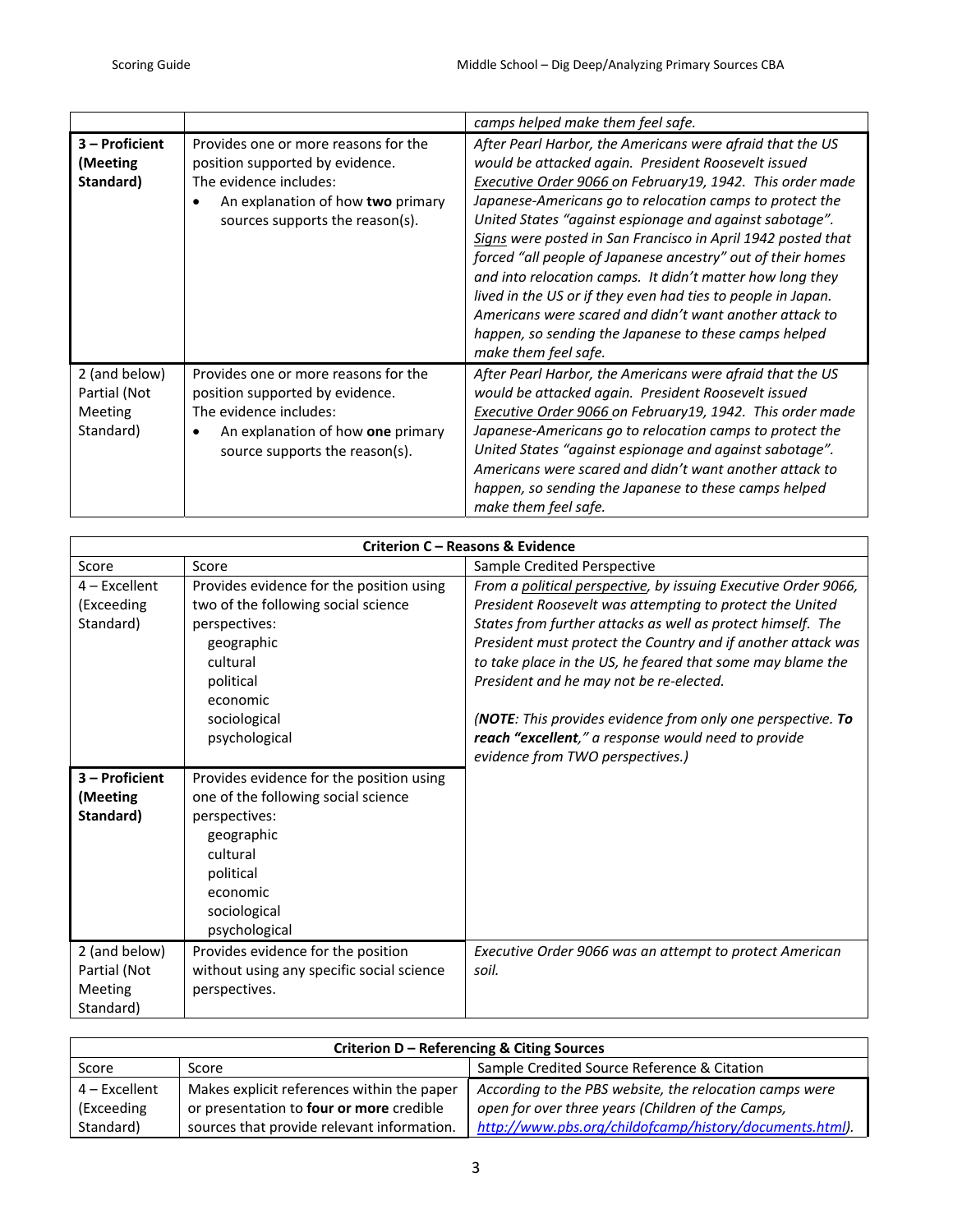|                                                       |                                                                                                                                                                           | camps helped make them feel safe.                                                                                                                                                                                                                                                                                                                                                                                                                                                                                                                                                                                                                                                                             |
|-------------------------------------------------------|---------------------------------------------------------------------------------------------------------------------------------------------------------------------------|---------------------------------------------------------------------------------------------------------------------------------------------------------------------------------------------------------------------------------------------------------------------------------------------------------------------------------------------------------------------------------------------------------------------------------------------------------------------------------------------------------------------------------------------------------------------------------------------------------------------------------------------------------------------------------------------------------------|
| 3 - Proficient<br>(Meeting<br>Standard)               | Provides one or more reasons for the<br>position supported by evidence.<br>The evidence includes:<br>An explanation of how two primary<br>sources supports the reason(s). | After Pearl Harbor, the Americans were afraid that the US<br>would be attacked again. President Roosevelt issued<br>Executive Order 9066 on February 19, 1942. This order made<br>Japanese-Americans go to relocation camps to protect the<br>United States "against espionage and against sabotage".<br>Signs were posted in San Francisco in April 1942 posted that<br>forced "all people of Japanese ancestry" out of their homes<br>and into relocation camps. It didn't matter how long they<br>lived in the US or if they even had ties to people in Japan.<br>Americans were scared and didn't want another attack to<br>happen, so sending the Japanese to these camps helped<br>make them feel safe. |
| 2 (and below)<br>Partial (Not<br>Meeting<br>Standard) | Provides one or more reasons for the<br>position supported by evidence.<br>The evidence includes:<br>An explanation of how one primary<br>source supports the reason(s).  | After Pearl Harbor, the Americans were afraid that the US<br>would be attacked again. President Roosevelt issued<br>Executive Order 9066 on February19, 1942. This order made<br>Japanese-Americans go to relocation camps to protect the<br>United States "against espionage and against sabotage".<br>Americans were scared and didn't want another attack to<br>happen, so sending the Japanese to these camps helped<br>make them feel safe.                                                                                                                                                                                                                                                              |

| Criterion C - Reasons & Evidence |                                           |                                                                |
|----------------------------------|-------------------------------------------|----------------------------------------------------------------|
| Score                            | Score                                     | Sample Credited Perspective                                    |
| $4$ – Excellent                  | Provides evidence for the position using  | From a political perspective, by issuing Executive Order 9066, |
| (Exceeding                       | two of the following social science       | President Roosevelt was attempting to protect the United       |
| Standard)                        | perspectives:                             | States from further attacks as well as protect himself. The    |
|                                  | geographic                                | President must protect the Country and if another attack was   |
|                                  | cultural                                  | to take place in the US, he feared that some may blame the     |
|                                  | political                                 | President and he may not be re-elected.                        |
|                                  | economic                                  |                                                                |
|                                  | sociological                              | (NOTE: This provides evidence from only one perspective. To    |
|                                  | psychological                             | reach "excellent," a response would need to provide            |
|                                  |                                           | evidence from TWO perspectives.)                               |
| 3 - Proficient                   | Provides evidence for the position using  |                                                                |
| (Meeting                         | one of the following social science       |                                                                |
| Standard)                        | perspectives:                             |                                                                |
|                                  | geographic                                |                                                                |
|                                  | cultural                                  |                                                                |
|                                  | political                                 |                                                                |
|                                  | economic                                  |                                                                |
|                                  | sociological                              |                                                                |
|                                  | psychological                             |                                                                |
| 2 (and below)                    | Provides evidence for the position        | Executive Order 9066 was an attempt to protect American        |
| Partial (Not                     | without using any specific social science | soil.                                                          |
| Meeting                          | perspectives.                             |                                                                |
| Standard)                        |                                           |                                                                |

| Criterion D – Referencing & Citing Sources             |                                            |                                                         |
|--------------------------------------------------------|--------------------------------------------|---------------------------------------------------------|
| Score                                                  | Score                                      | Sample Credited Source Reference & Citation             |
| $4$ – Excellent                                        | Makes explicit references within the paper | According to the PBS website, the relocation camps were |
| or presentation to four or more credible<br>(Exceeding |                                            | open for over three years (Children of the Camps,       |
| Standard)                                              | sources that provide relevant information. | http://www.pbs.org/childofcamp/history/documents.html). |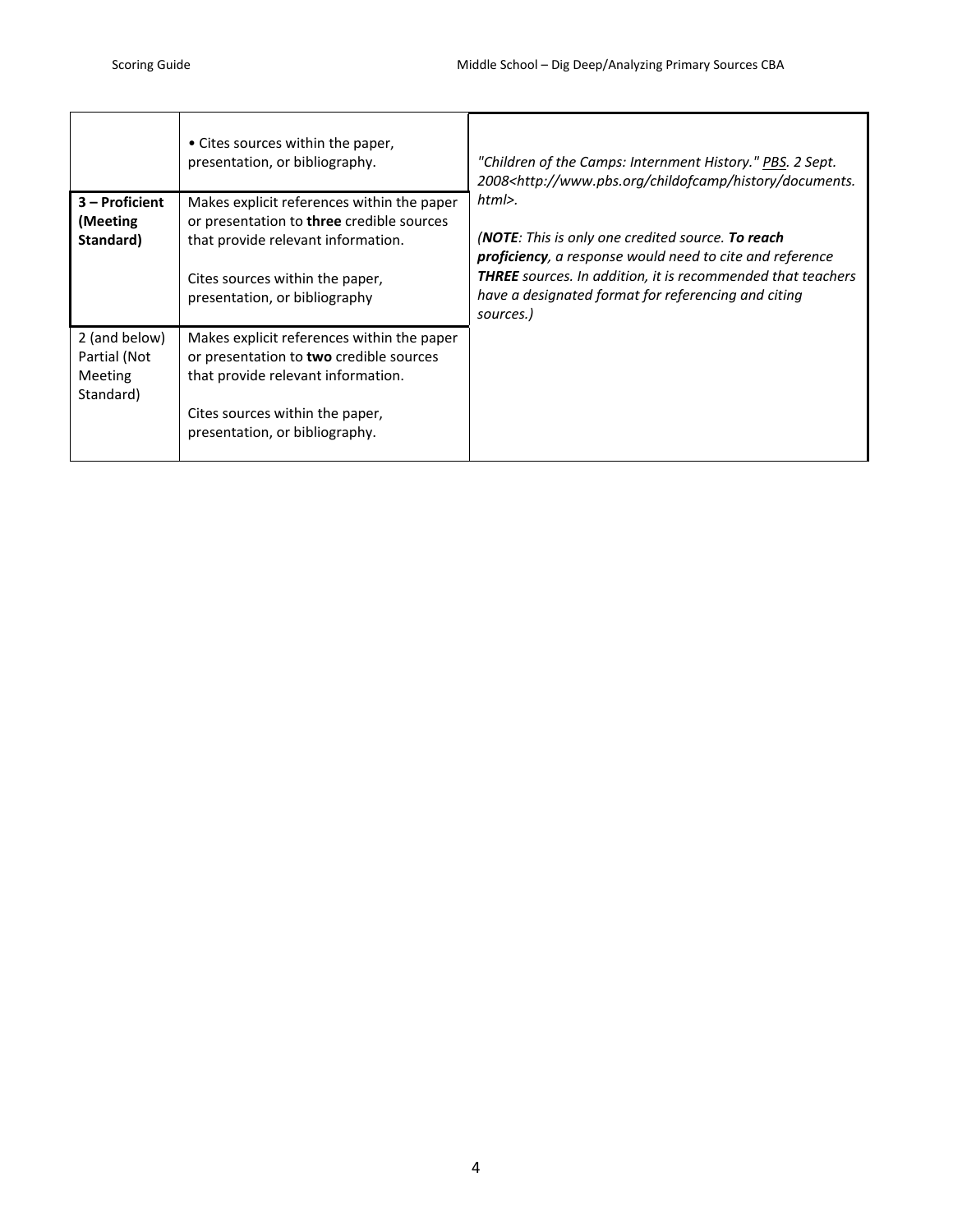|                                                              | • Cites sources within the paper,<br>presentation, or bibliography.                                                                                                                                      | "Children of the Camps: Internment History." PBS. 2 Sept.<br>2008 <http: childofcamp="" documents.<="" history="" th="" www.pbs.org=""></http:>                                                                                                                             |
|--------------------------------------------------------------|----------------------------------------------------------------------------------------------------------------------------------------------------------------------------------------------------------|-----------------------------------------------------------------------------------------------------------------------------------------------------------------------------------------------------------------------------------------------------------------------------|
| 3 - Proficient<br>(Meeting)<br>Standard)                     | Makes explicit references within the paper<br>or presentation to <b>three</b> credible sources<br>that provide relevant information.<br>Cites sources within the paper,<br>presentation, or bibliography | $html$ .<br>(NOTE: This is only one credited source. To reach<br><b>proficiency</b> , a response would need to cite and reference<br><b>THREE</b> sources. In addition, it is recommended that teachers<br>have a designated format for referencing and citing<br>sources.) |
| 2 (and below)<br>Partial (Not<br><b>Meeting</b><br>Standard) | Makes explicit references within the paper<br>or presentation to two credible sources<br>that provide relevant information.<br>Cites sources within the paper,<br>presentation, or bibliography.         |                                                                                                                                                                                                                                                                             |